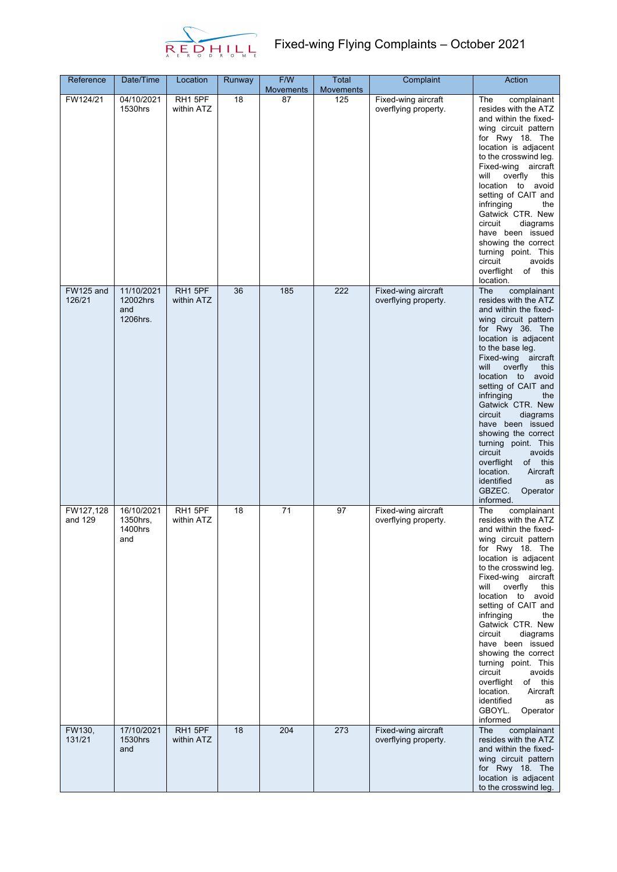

## $R\underset{\text{R.E.}}{\sum}\underset{\text{R.E.}}{\sum}\underset{\text{L.H.}}{\sum}\underset{\text{L.H.}}{\sum}$  Fixed-wing Flying Complaints – October 2021

| Reference            | Date/Time                                 | Location              | Runway | F/W<br><b>Movements</b> | Total<br><b>Movements</b> | Complaint                                   | Action                                                                                                                                                                                                                                                                                                                                                                                                                                                                                                                         |
|----------------------|-------------------------------------------|-----------------------|--------|-------------------------|---------------------------|---------------------------------------------|--------------------------------------------------------------------------------------------------------------------------------------------------------------------------------------------------------------------------------------------------------------------------------------------------------------------------------------------------------------------------------------------------------------------------------------------------------------------------------------------------------------------------------|
| FW124/21             | 04/10/2021<br>1530hrs                     | RH1 5PF<br>within ATZ | 18     | 87                      | 125                       | Fixed-wing aircraft<br>overflying property. | The<br>complainant<br>resides with the ATZ<br>and within the fixed-<br>wing circuit pattern<br>for Rwy 18. The<br>location is adjacent<br>to the crosswind leg.<br>Fixed-wing aircraft<br>overfly<br>will<br>this<br>location to avoid<br>setting of CAIT and<br>infringing<br>the<br>Gatwick CTR. New<br>circuit<br>diagrams<br>have been issued<br>showing the correct<br>turning point. This<br>circuit<br>avoids<br>overflight of this<br>location.                                                                        |
| FW125 and<br>126/21  | 11/10/2021<br>12002hrs<br>and<br>1206hrs. | RH1 5PF<br>within ATZ | 36     | 185                     | 222                       | Fixed-wing aircraft<br>overflying property. | The<br>complainant<br>resides with the ATZ<br>and within the fixed-<br>wing circuit pattern<br>for Rwy 36. The<br>location is adjacent<br>to the base leg.<br>Fixed-wing aircraft<br>will<br>overfly<br>this<br>location to<br>avoid<br>setting of CAIT and<br>infringing<br>the<br>Gatwick CTR. New<br>circuit<br>diagrams<br>have been issued<br>showing the correct<br>turning point. This<br>circuit<br>avoids<br>overflight<br>of<br>this<br>location.<br>Aircraft<br>identified<br>as<br>GBZEC.<br>Operator<br>informed. |
| FW127,128<br>and 129 | 16/10/2021<br>1350hrs,<br>1400hrs<br>and  | RH1 5PF<br>within ATZ | 18     | $\overline{71}$         | $\overline{97}$           | Fixed-wing aircraft<br>overflying property. | complainant<br>The<br>resides with the ATZ<br>and within the fixed-<br>wing circuit pattern<br>for Rwy 18. The<br>location is adjacent<br>to the crosswind leg.<br>Fixed-wing aircraft<br>will<br>overfly<br>this<br>location to avoid<br>setting of CAIT and<br>infringing<br>the<br>Gatwick CTR. New<br>circuit<br>diagrams<br>have been issued<br>showing the correct<br>turning point. This<br>circuit<br>avoids<br>of this<br>overflight<br>Aircraft<br>location.<br>identified<br>as<br>GBOYL.<br>Operator<br>informed   |
| FW130,<br>131/21     | 17/10/2021<br>1530hrs<br>and              | RH1 5PF<br>within ATZ | 18     | 204                     | 273                       | Fixed-wing aircraft<br>overflying property. | The<br>complainant<br>resides with the ATZ<br>and within the fixed-<br>wing circuit pattern<br>for Rwy 18. The<br>location is adjacent<br>to the crosswind leg.                                                                                                                                                                                                                                                                                                                                                                |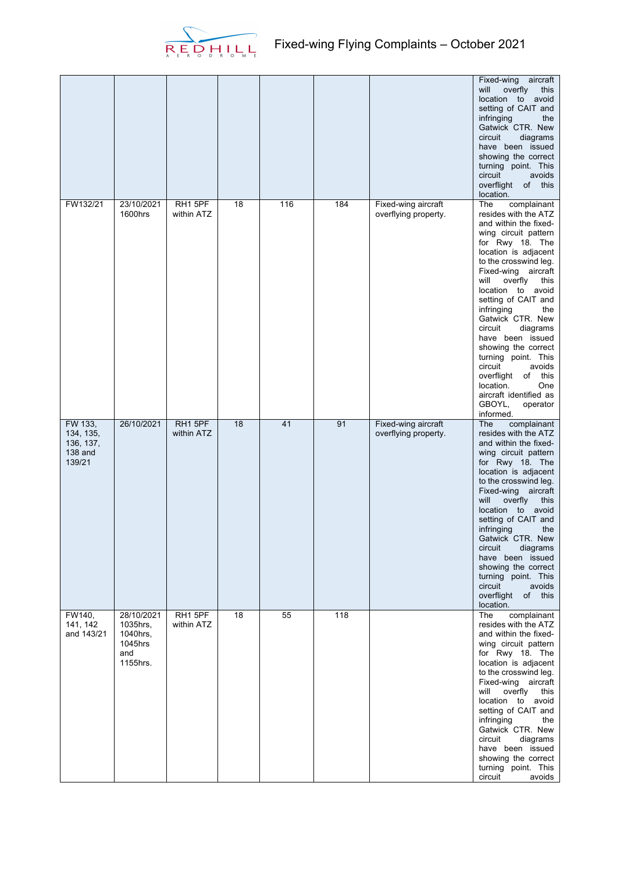

|                                                        |                                                                  |                       |    |     |     |                                             | Fixed-wing<br>aircraft<br>will<br>overfly<br>this<br>location to avoid<br>setting of CAIT and<br>infringing<br>the<br>Gatwick CTR. New<br>diagrams<br>circuit<br>have been issued<br>showing the correct<br>turning point. This<br>circuit<br>avoids<br>overflight of this<br>location.                                                                                                                                                                                                                                        |
|--------------------------------------------------------|------------------------------------------------------------------|-----------------------|----|-----|-----|---------------------------------------------|--------------------------------------------------------------------------------------------------------------------------------------------------------------------------------------------------------------------------------------------------------------------------------------------------------------------------------------------------------------------------------------------------------------------------------------------------------------------------------------------------------------------------------|
| FW132/21                                               | 23/10/2021<br>1600hrs                                            | RH1 5PF<br>within ATZ | 18 | 116 | 184 | Fixed-wing aircraft<br>overflying property. | The<br>complainant<br>resides with the ATZ<br>and within the fixed-<br>wing circuit pattern<br>for Rwy 18. The<br>location is adjacent<br>to the crosswind leg.<br>Fixed-wing aircraft<br>will<br>overfly<br>this<br>location to avoid<br>setting of CAIT and<br>infringing<br>the<br>Gatwick CTR. New<br>circuit<br>diagrams<br>have been issued<br>showing the correct<br>turning point. This<br>circuit<br>avoids<br>overflight<br>of this<br>location.<br>One<br>aircraft identified as<br>GBOYL,<br>operator<br>informed. |
| FW 133,<br>134, 135,<br>136, 137,<br>138 and<br>139/21 | 26/10/2021                                                       | RH1 5PF<br>within ATZ | 18 | 41  | 91  | Fixed-wing aircraft<br>overflying property. | The<br>complainant<br>resides with the ATZ<br>and within the fixed-<br>wing circuit pattern<br>for Rwy 18. The<br>location is adjacent<br>to the crosswind leg.<br>Fixed-wing aircraft<br>will<br>overfly<br>this<br>location to avoid<br>setting of CAIT and<br>infringing<br>the<br>Gatwick CTR. New<br>diagrams<br>circuit<br>have been issued<br>showing the correct<br>turning point. This<br>circuit<br>avoids<br>overflight of this<br>location.                                                                        |
| FW140,<br>141, 142<br>and 143/21                       | 28/10/2021<br>1035hrs,<br>1040hrs,<br>1045hrs<br>and<br>1155hrs. | RH1 5PF<br>within ATZ | 18 | 55  | 118 |                                             | The<br>complainant<br>resides with the ATZ<br>and within the fixed-<br>wing circuit pattern<br>for Rwy 18. The<br>location is adjacent<br>to the crosswind leg.<br>Fixed-wing aircraft<br>will<br>overfly this<br>location to avoid<br>setting of CAIT and<br>infringing<br>the<br>Gatwick CTR. New<br>circuit<br>diagrams<br>have been issued<br>showing the correct<br>turning point. This<br>circuit<br>avoids                                                                                                              |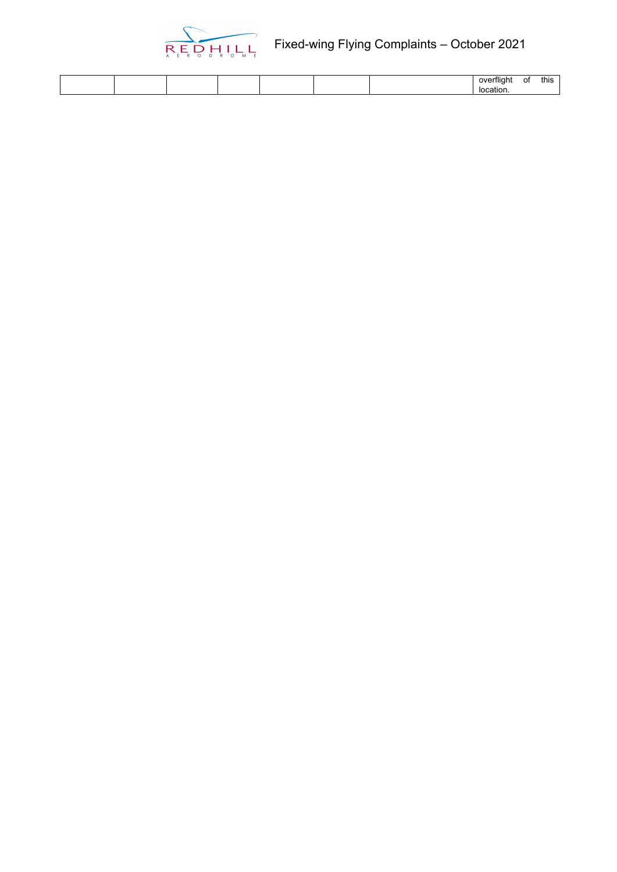

|  |  |  | 0<br>нисти<br>$\sim$ 100 $\sim$<br>жπ<br>ור | 0t | . .<br>this |
|--|--|--|---------------------------------------------|----|-------------|